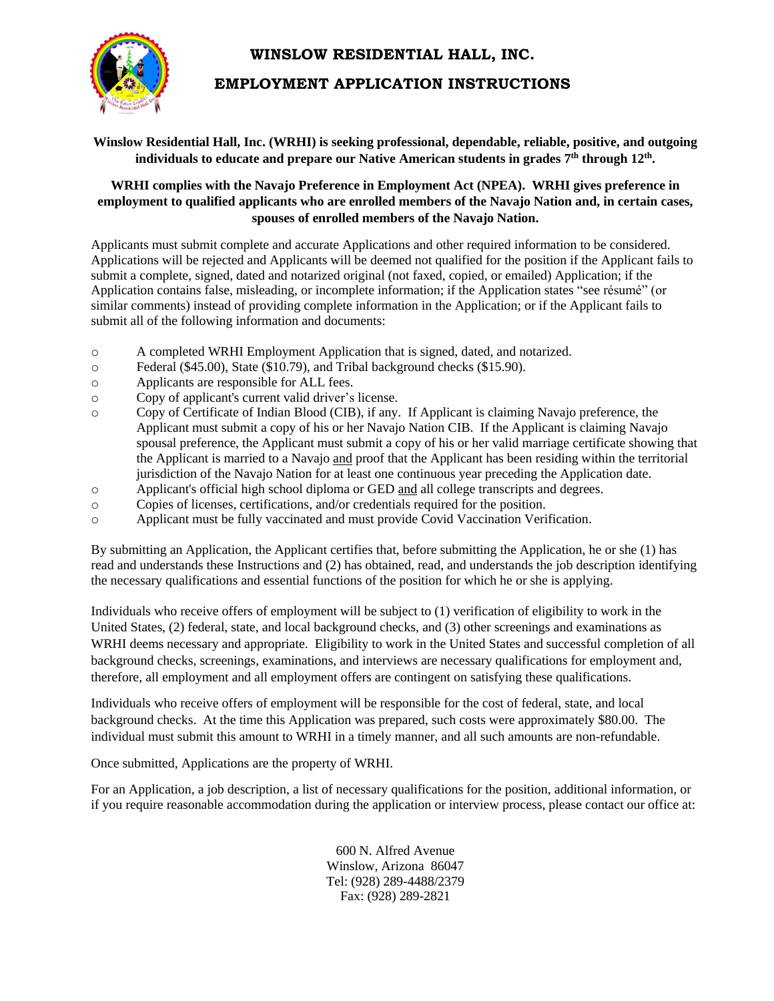# **WINSLOW RESIDENTIAL HALL, INC.**

# **EMPLOYMENT APPLICATION INSTRUCTIONS**

### **Winslow Residential Hall, Inc. (WRHI) is seeking professional, dependable, reliable, positive, and outgoing individuals to educate and prepare our Native American students in grades 7th through 12th .**

## **WRHI complies with the Navajo Preference in Employment Act (NPEA). WRHI gives preference in employment to qualified applicants who are enrolled members of the Navajo Nation and, in certain cases, spouses of enrolled members of the Navajo Nation.**

Applicants must submit complete and accurate Applications and other required information to be considered. Applications will be rejected and Applicants will be deemed not qualified for the position if the Applicant fails to submit a complete, signed, dated and notarized original (not faxed, copied, or emailed) Application; if the Application contains false, misleading, or incomplete information; if the Application states "see résumé" (or similar comments) instead of providing complete information in the Application; or if the Applicant fails to submit all of the following information and documents:

- o A completed WRHI Employment Application that is signed, dated, and notarized.
- o Federal (\$45.00), State (\$10.79), and Tribal background checks (\$15.90).
- o Applicants are responsible for ALL fees.
- o Copy of applicant's current valid driver's license.
- o Copy of Certificate of Indian Blood (CIB), if any. If Applicant is claiming Navajo preference, the Applicant must submit a copy of his or her Navajo Nation CIB. If the Applicant is claiming Navajo spousal preference, the Applicant must submit a copy of his or her valid marriage certificate showing that the Applicant is married to a Navajo and proof that the Applicant has been residing within the territorial jurisdiction of the Navajo Nation for at least one continuous year preceding the Application date.
- o Applicant's official high school diploma or GED and all college transcripts and degrees.
- o Copies of licenses, certifications, and/or credentials required for the position.
- o Applicant must be fully vaccinated and must provide Covid Vaccination Verification.

By submitting an Application, the Applicant certifies that, before submitting the Application, he or she (1) has read and understands these Instructions and (2) has obtained, read, and understands the job description identifying the necessary qualifications and essential functions of the position for which he or she is applying.

Individuals who receive offers of employment will be subject to (1) verification of eligibility to work in the United States, (2) federal, state, and local background checks, and (3) other screenings and examinations as WRHI deems necessary and appropriate. Eligibility to work in the United States and successful completion of all background checks, screenings, examinations, and interviews are necessary qualifications for employment and, therefore, all employment and all employment offers are contingent on satisfying these qualifications.

Individuals who receive offers of employment will be responsible for the cost of federal, state, and local background checks. At the time this Application was prepared, such costs were approximately \$80.00. The individual must submit this amount to WRHI in a timely manner, and all such amounts are non-refundable.

Once submitted, Applications are the property of WRHI.

For an Application, a job description, a list of necessary qualifications for the position, additional information, or if you require reasonable accommodation during the application or interview process, please contact our office at:

> 600 N. Alfred Avenue Winslow, Arizona 86047 Tel: (928) 289-4488/2379 Fax: (928) 289-2821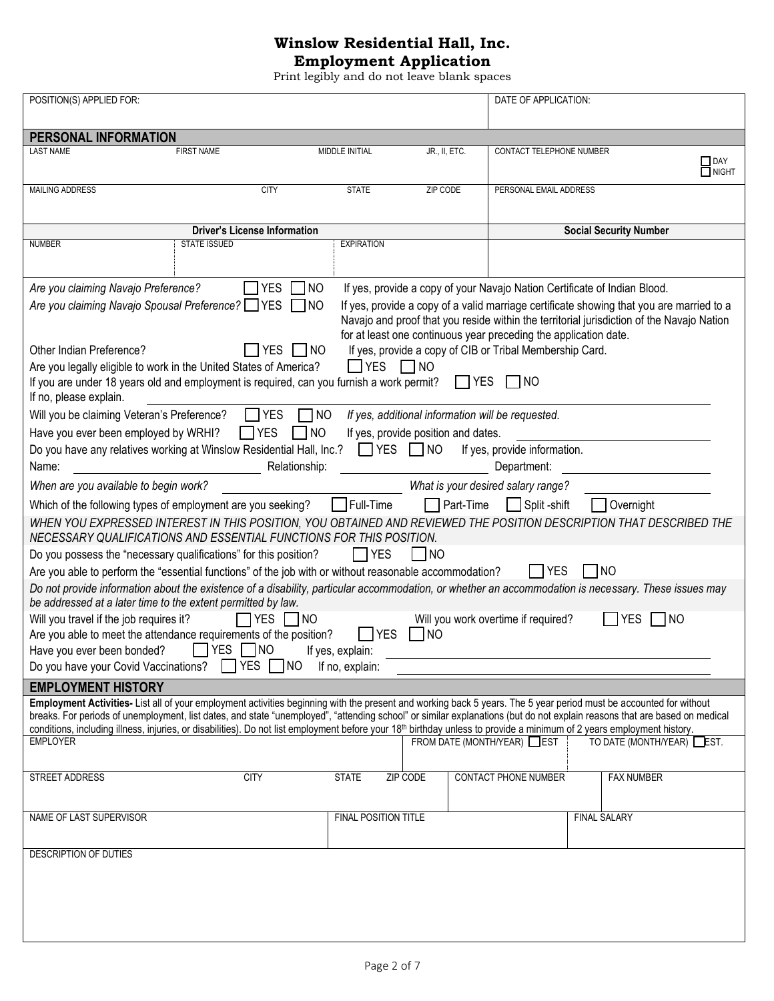# **Winslow Residential Hall, Inc.**

**Employment Application** Print legibly and do not leave blank spaces

| POSITION(S) APPLIED FOR:                                                                                                                                                                   |                      |                                     |            | DATE OF APPLICATION:                                                      |                               |                                                                                           |
|--------------------------------------------------------------------------------------------------------------------------------------------------------------------------------------------|----------------------|-------------------------------------|------------|---------------------------------------------------------------------------|-------------------------------|-------------------------------------------------------------------------------------------|
|                                                                                                                                                                                            |                      |                                     |            |                                                                           |                               |                                                                                           |
| PERSONAL INFORMATION                                                                                                                                                                       |                      |                                     |            |                                                                           |                               |                                                                                           |
| <b>FIRST NAME</b><br><b>LAST NAME</b>                                                                                                                                                      | MIDDLE INITIAL       | JR., II, ETC.                       |            | CONTACT TELEPHONE NUMBER                                                  |                               | $\Box$ DAY<br>$\Box$ NIGHT                                                                |
| <b>MAILING ADDRESS</b><br><b>CITY</b>                                                                                                                                                      | <b>STATE</b>         | ZIP CODE                            |            | PERSONAL EMAIL ADDRESS                                                    |                               |                                                                                           |
|                                                                                                                                                                                            |                      |                                     |            |                                                                           |                               |                                                                                           |
| <b>Driver's License Information</b>                                                                                                                                                        |                      |                                     |            |                                                                           | <b>Social Security Number</b> |                                                                                           |
| <b>STATE ISSUED</b><br><b>NUMBER</b>                                                                                                                                                       | <b>EXPIRATION</b>    |                                     |            |                                                                           |                               |                                                                                           |
|                                                                                                                                                                                            |                      |                                     |            |                                                                           |                               |                                                                                           |
| <b>YES</b><br>Are you claiming Navajo Preference?<br><b>NO</b>                                                                                                                             |                      |                                     |            | If yes, provide a copy of your Navajo Nation Certificate of Indian Blood. |                               |                                                                                           |
| Are you claiming Navajo Spousal Preference? VES<br>$\Box$ NO                                                                                                                               |                      |                                     |            |                                                                           |                               | If yes, provide a copy of a valid marriage certificate showing that you are married to a  |
|                                                                                                                                                                                            |                      |                                     |            |                                                                           |                               | Navajo and proof that you reside within the territorial jurisdiction of the Navajo Nation |
|                                                                                                                                                                                            |                      |                                     |            | for at least one continuous year preceding the application date.          |                               |                                                                                           |
| <b>YES</b><br>Other Indian Preference?<br>$\Box$ NO                                                                                                                                        |                      |                                     |            | If yes, provide a copy of CIB or Tribal Membership Card.                  |                               |                                                                                           |
| Are you legally eligible to work in the United States of America?                                                                                                                          | $\Box$ YES $\Box$ NO |                                     |            |                                                                           |                               |                                                                                           |
| If you are under 18 years old and employment is required, can you furnish a work permit?                                                                                                   |                      |                                     | $\Box$ YES | INO                                                                       |                               |                                                                                           |
| If no, please explain.                                                                                                                                                                     |                      |                                     |            |                                                                           |                               |                                                                                           |
| Will you be claiming Veteran's Preference?<br><b>TYES</b>                                                                                                                                  | 1 NO                 |                                     |            | If yes, additional information will be requested.                         |                               |                                                                                           |
| ∃ี NO<br>$\Box$ YES<br>Have you ever been employed by WRHI?                                                                                                                                |                      | If yes, provide position and dates. |            |                                                                           |                               |                                                                                           |
| Do you have any relatives working at Winslow Residential Hall, Inc.?                                                                                                                       |                      | $\Box$ YES $\Box$ NO                |            | If yes, provide information.                                              |                               |                                                                                           |
| Relationship:<br>Name:                                                                                                                                                                     |                      |                                     |            | Department:                                                               |                               |                                                                                           |
|                                                                                                                                                                                            |                      |                                     |            |                                                                           |                               |                                                                                           |
| When are you available to begin work?                                                                                                                                                      |                      |                                     |            | What is your desired salary range?                                        |                               |                                                                                           |
| Which of the following types of employment are you seeking?                                                                                                                                | Full-Time            | $\Box$ Part-Time                    |            | Split -shift                                                              | Overnight                     |                                                                                           |
| WHEN YOU EXPRESSED INTEREST IN THIS POSITION, YOU OBTAINED AND REVIEWED THE POSITION DESCRIPTION THAT DESCRIBED THE<br>NECESSARY QUALIFICATIONS AND ESSENTIAL FUNCTIONS FOR THIS POSITION. |                      |                                     |            |                                                                           |                               |                                                                                           |
| Do you possess the "necessary qualifications" for this position?                                                                                                                           | $\Box$ YES           | NO                                  |            |                                                                           |                               |                                                                                           |
| Are you able to perform the "essential functions" of the job with or without reasonable accommodation?                                                                                     |                      |                                     |            | I IYES                                                                    | $\overline{N}$                |                                                                                           |
| Do not provide information about the existence of a disability, particular accommodation, or whether an accommodation is necessary. These issues may                                       |                      |                                     |            |                                                                           |                               |                                                                                           |
| be addressed at a later time to the extent permitted by law.                                                                                                                               |                      |                                     |            |                                                                           |                               |                                                                                           |
| l YES<br>Will you travel if the job requires it?<br> NO                                                                                                                                    |                      |                                     |            | Will you work overtime if required?                                       | <b>YES</b>                    | NO                                                                                        |
| Are you able to meet the attendance requirements of the position?                                                                                                                          | <b>YES</b>           | TNO                                 |            |                                                                           |                               |                                                                                           |
| YES NO<br>Have you ever been bonded?                                                                                                                                                       | If yes, explain:     |                                     |            |                                                                           |                               |                                                                                           |
| $\Box$ YES $\Box$ NO<br>Do you have your Covid Vaccinations?                                                                                                                               | If no, explain:      |                                     |            |                                                                           |                               |                                                                                           |
| <b>EMPLOYMENT HISTORY</b>                                                                                                                                                                  |                      |                                     |            |                                                                           |                               |                                                                                           |
| Employment Activities- List all of your employment activities beginning with the present and working back 5 years. The 5 year period must be accounted for without                         |                      |                                     |            |                                                                           |                               |                                                                                           |
| breaks. For periods of unemployment, list dates, and state "unemployed", "attending school" or similar explanations (but do not explain reasons that are based on medical                  |                      |                                     |            |                                                                           |                               |                                                                                           |
| conditions, including illness, injuries, or disabilities). Do not list employment before your 18 <sup>th</sup> birthday unless to provide a minimum of 2 years employment history.         |                      |                                     |            |                                                                           |                               |                                                                                           |
| <b>EMPLOYER</b>                                                                                                                                                                            |                      |                                     |            | FROM DATE (MONTH/YEAR) EST                                                |                               | TO DATE (MONTH/YEAR) EST.                                                                 |
|                                                                                                                                                                                            |                      |                                     |            |                                                                           |                               |                                                                                           |
| STREET ADDRESS<br><b>CITY</b>                                                                                                                                                              | <b>STATE</b>         | ZIP CODE                            |            | <b>CONTACT PHONE NUMBER</b>                                               |                               | <b>FAX NUMBER</b>                                                                         |
|                                                                                                                                                                                            |                      |                                     |            |                                                                           |                               |                                                                                           |
|                                                                                                                                                                                            |                      |                                     |            |                                                                           |                               |                                                                                           |
| NAME OF LAST SUPERVISOR                                                                                                                                                                    | FINAL POSITION TITLE |                                     |            |                                                                           | <b>FINAL SALARY</b>           |                                                                                           |
|                                                                                                                                                                                            |                      |                                     |            |                                                                           |                               |                                                                                           |
| DESCRIPTION OF DUTIES                                                                                                                                                                      |                      |                                     |            |                                                                           |                               |                                                                                           |
|                                                                                                                                                                                            |                      |                                     |            |                                                                           |                               |                                                                                           |
|                                                                                                                                                                                            |                      |                                     |            |                                                                           |                               |                                                                                           |
|                                                                                                                                                                                            |                      |                                     |            |                                                                           |                               |                                                                                           |
|                                                                                                                                                                                            |                      |                                     |            |                                                                           |                               |                                                                                           |
|                                                                                                                                                                                            |                      |                                     |            |                                                                           |                               |                                                                                           |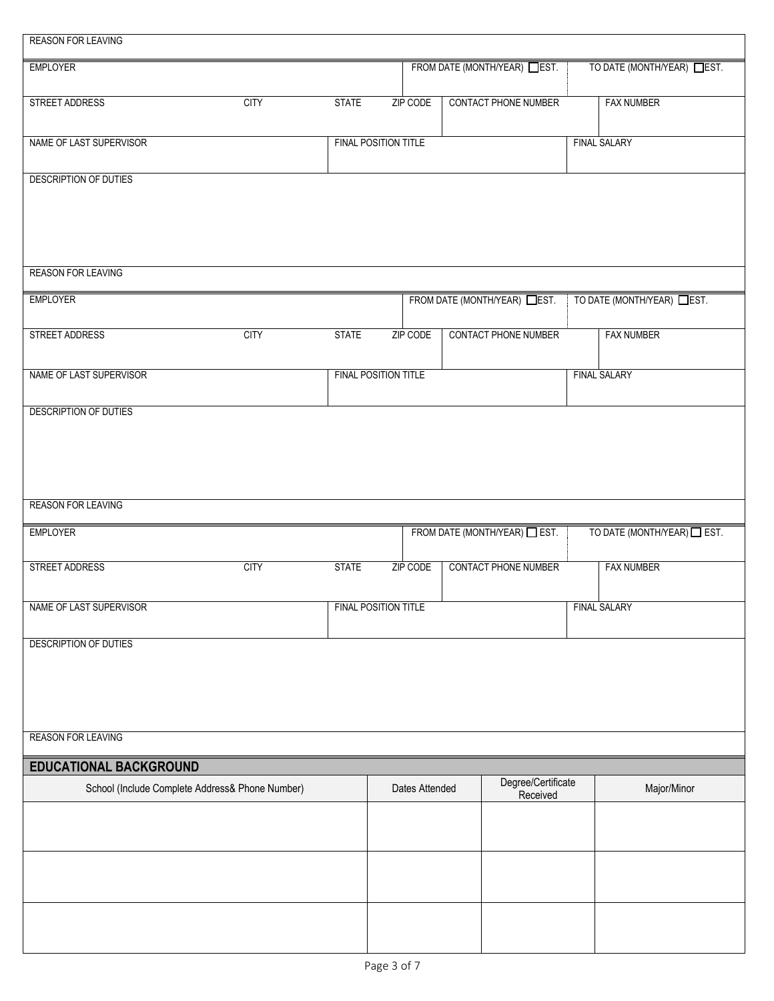| <b>REASON FOR LEAVING</b>                       |             |              |                             |                             |                                |                           |
|-------------------------------------------------|-------------|--------------|-----------------------------|-----------------------------|--------------------------------|---------------------------|
| <b>EMPLOYER</b>                                 |             |              |                             | FROM DATE (MONTH/YEAR) EST. |                                | TO DATE (MONTH/YEAR) EST. |
| STREET ADDRESS                                  | <b>CITY</b> | <b>STATE</b> | ZIP CODE                    | <b>CONTACT PHONE NUMBER</b> |                                | <b>FAX NUMBER</b>         |
| NAME OF LAST SUPERVISOR                         |             |              | FINAL POSITION TITLE        |                             |                                | <b>FINAL SALARY</b>       |
| DESCRIPTION OF DUTIES                           |             |              |                             |                             |                                |                           |
|                                                 |             |              |                             |                             |                                |                           |
| <b>REASON FOR LEAVING</b>                       |             |              |                             |                             |                                |                           |
|                                                 |             |              |                             |                             |                                |                           |
| <b>EMPLOYER</b>                                 |             |              |                             | FROM DATE (MONTH/YEAR) EST. |                                | TO DATE (MONTH/YEAR) EST. |
| <b>STREET ADDRESS</b>                           | <b>CITY</b> | <b>STATE</b> | ZIP CODE                    | <b>CONTACT PHONE NUMBER</b> |                                | <b>FAX NUMBER</b>         |
| NAME OF LAST SUPERVISOR                         |             |              | <b>FINAL POSITION TITLE</b> |                             |                                | <b>FINAL SALARY</b>       |
| DESCRIPTION OF DUTIES                           |             |              |                             |                             |                                |                           |
|                                                 |             |              |                             |                             |                                |                           |
|                                                 |             |              |                             |                             |                                |                           |
|                                                 |             |              |                             |                             |                                |                           |
| <b>REASON FOR LEAVING</b>                       |             |              |                             |                             |                                |                           |
| <b>EMPLOYER</b>                                 |             |              |                             | FROM DATE (MONTH/YEAR) EST. |                                | TO DATE (MONTH/YEAR) EST. |
| STREET ADDRESS                                  | <b>CITY</b> | <b>STATE</b> | ZIP CODE                    | CONTACT PHONE NUMBER        |                                | <b>FAX NUMBER</b>         |
| NAME OF LAST SUPERVISOR                         |             |              | FINAL POSITION TITLE        |                             |                                | <b>FINAL SALARY</b>       |
| DESCRIPTION OF DUTIES                           |             |              |                             |                             |                                |                           |
|                                                 |             |              |                             |                             |                                |                           |
|                                                 |             |              |                             |                             |                                |                           |
|                                                 |             |              |                             |                             |                                |                           |
| <b>REASON FOR LEAVING</b>                       |             |              |                             |                             |                                |                           |
| <b>EDUCATIONAL BACKGROUND</b>                   |             |              |                             |                             |                                |                           |
| School (Include Complete Address& Phone Number) |             |              | Dates Attended              |                             | Degree/Certificate<br>Received | Major/Minor               |
|                                                 |             |              |                             |                             |                                |                           |
|                                                 |             |              |                             |                             |                                |                           |
|                                                 |             |              |                             |                             |                                |                           |
|                                                 |             |              |                             |                             |                                |                           |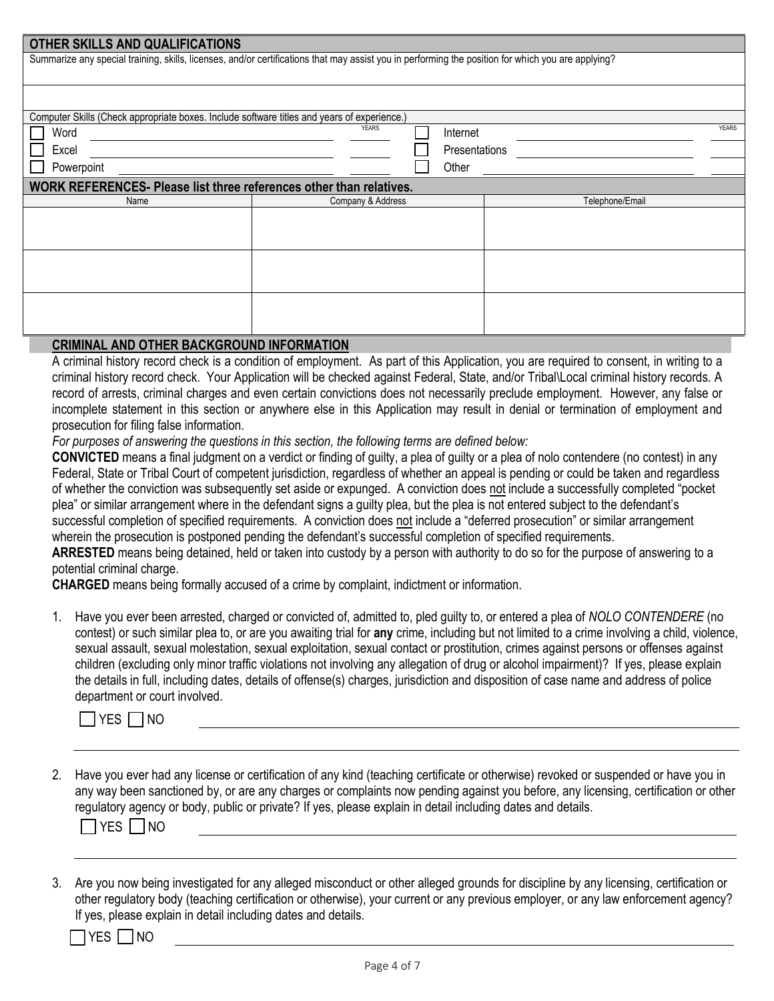| OTHER SKILLS AND QUALIFICATIONS                                                                                                                    |                   |               |                 |              |
|----------------------------------------------------------------------------------------------------------------------------------------------------|-------------------|---------------|-----------------|--------------|
| Summarize any special training, skills, licenses, and/or certifications that may assist you in performing the position for which you are applying? |                   |               |                 |              |
|                                                                                                                                                    |                   |               |                 |              |
|                                                                                                                                                    |                   |               |                 |              |
| Computer Skills (Check appropriate boxes. Include software titles and years of experience.)                                                        |                   |               |                 |              |
| Word                                                                                                                                               | <b>YEARS</b>      | Internet      |                 | <b>YEARS</b> |
| Excel                                                                                                                                              |                   | Presentations |                 |              |
| Powerpoint                                                                                                                                         |                   | Other         |                 |              |
| WORK REFERENCES- Please list three references other than relatives.                                                                                |                   |               |                 |              |
| Name                                                                                                                                               | Company & Address |               | Telephone/Email |              |
|                                                                                                                                                    |                   |               |                 |              |
|                                                                                                                                                    |                   |               |                 |              |
|                                                                                                                                                    |                   |               |                 |              |
|                                                                                                                                                    |                   |               |                 |              |
|                                                                                                                                                    |                   |               |                 |              |
|                                                                                                                                                    |                   |               |                 |              |
|                                                                                                                                                    |                   |               |                 |              |
|                                                                                                                                                    |                   |               |                 |              |

#### **CRIMINAL AND OTHER BACKGROUND INFORMATION**

A criminal history record check is a condition of employment. As part of this Application, you are required to consent, in writing to a criminal history record check. Your Application will be checked against Federal, State, and/or Tribal\Local criminal history records. A record of arrests, criminal charges and even certain convictions does not necessarily preclude employment. However, any false or incomplete statement in this section or anywhere else in this Application may result in denial or termination of employment and prosecution for filing false information.

*For purposes of answering the questions in this section, the following terms are defined below:*

**CONVICTED** means a final judgment on a verdict or finding of guilty, a plea of guilty or a plea of nolo contendere (no contest) in any Federal, State or Tribal Court of competent jurisdiction, regardless of whether an appeal is pending or could be taken and regardless of whether the conviction was subsequently set aside or expunged. A conviction does not include a successfully completed "pocket plea" or similar arrangement where in the defendant signs a guilty plea, but the plea is not entered subject to the defendant's successful completion of specified requirements. A conviction does not include a "deferred prosecution" or similar arrangement wherein the prosecution is postponed pending the defendant's successful completion of specified requirements.

**ARRESTED** means being detained, held or taken into custody by a person with authority to do so for the purpose of answering to a potential criminal charge.

**CHARGED** means being formally accused of a crime by complaint, indictment or information.

1. Have you ever been arrested, charged or convicted of, admitted to, pled guilty to, or entered a plea of *NOLO CONTENDERE* (no contest) or such similar plea to, or are you awaiting trial for **any** crime, including but not limited to a crime involving a child, violence, sexual assault, sexual molestation, sexual exploitation, sexual contact or prostitution, crimes against persons or offenses against children (excluding only minor traffic violations not involving any allegation of drug or alcohol impairment)? If yes, please explain the details in full, including dates, details of offense(s) charges, jurisdiction and disposition of case name and address of police department or court involved.

|  |  | NΟ |
|--|--|----|
|--|--|----|

2. Have you ever had any license or certification of any kind (teaching certificate or otherwise) revoked or suspended or have you in any way been sanctioned by, or are any charges or complaints now pending against you before, any licensing, certification or other regulatory agency or body, public or private? If yes, please explain in detail including dates and details.

 $\Box$ YES  $\Box$ NO

3. Are you now being investigated for any alleged misconduct or other alleged grounds for discipline by any licensing, certification or other regulatory body (teaching certification or otherwise), your current or any previous employer, or any law enforcement agency? If yes, please explain in detail including dates and details.

| Jſ.<br>г |
|----------|
|----------|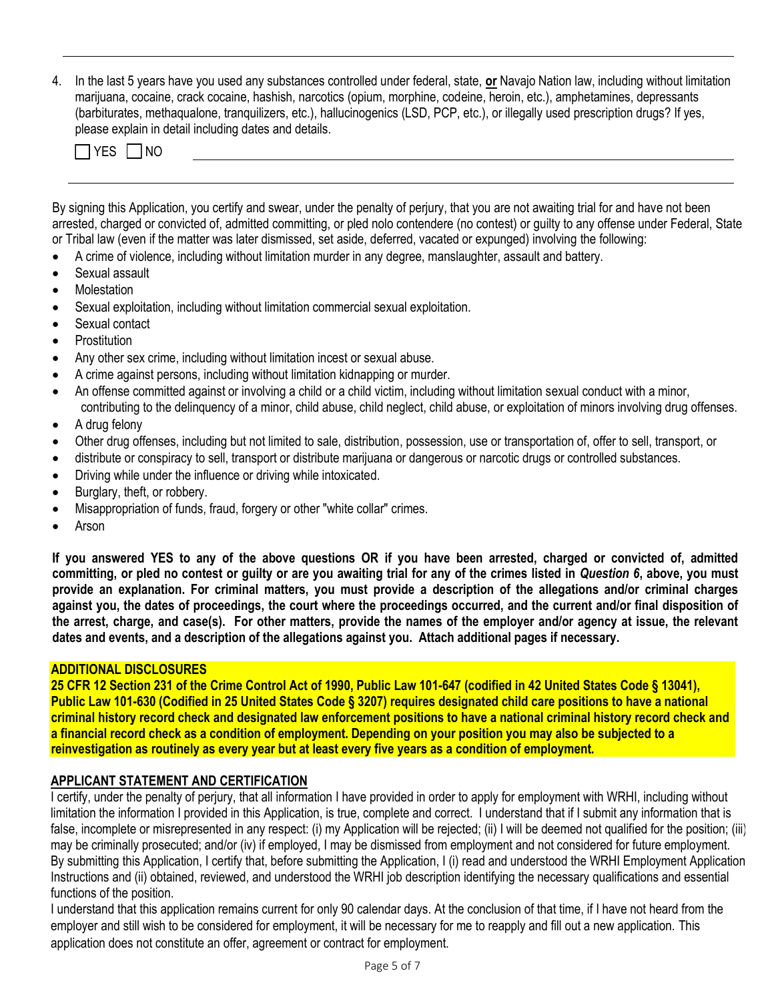4. In the last 5 years have you used any substances controlled under federal, state, **or** Navajo Nation law, including without limitation marijuana, cocaine, crack cocaine, hashish, narcotics (opium, morphine, codeine, heroin, etc.), amphetamines, depressants (barbiturates, methaqualone, tranquilizers, etc.), hallucinogenics (LSD, PCP, etc.), or illegally used prescription drugs? If yes, please explain in detail including dates and details.

 $\Box$ YES  $\Box$ NO

By signing this Application, you certify and swear, under the penalty of perjury, that you are not awaiting trial for and have not been arrested, charged or convicted of, admitted committing, or pled nolo contendere (no contest) or guilty to any offense under Federal, State or Tribal law (even if the matter was later dismissed, set aside, deferred, vacated or expunged) involving the following:

- A crime of violence, including without limitation murder in any degree, manslaughter, assault and battery.
- Sexual assault
- **Molestation**
- Sexual exploitation, including without limitation commercial sexual exploitation.
- Sexual contact
- **Prostitution**
- Any other sex crime, including without limitation incest or sexual abuse.
- A crime against persons, including without limitation kidnapping or murder.
- An offense committed against or involving a child or a child victim, including without limitation sexual conduct with a minor, contributing to the delinquency of a minor, child abuse, child neglect, child abuse, or exploitation of minors involving drug offenses.
- A drug felony
- Other drug offenses, including but not limited to sale, distribution, possession, use or transportation of, offer to sell, transport, or
- distribute or conspiracy to sell, transport or distribute marijuana or dangerous or narcotic drugs or controlled substances.
- Driving while under the influence or driving while intoxicated.
- Burglary, theft, or robbery.
- Misappropriation of funds, fraud, forgery or other "white collar" crimes.
- Arson

**If you answered YES to any of the above questions OR if you have been arrested, charged or convicted of, admitted committing, or pled no contest or guilty or are you awaiting trial for any of the crimes listed in** *Question 6***, above, you must provide an explanation. For criminal matters, you must provide a description of the allegations and/or criminal charges against you, the dates of proceedings, the court where the proceedings occurred, and the current and/or final disposition of the arrest, charge, and case(s). For other matters, provide the names of the employer and/or agency at issue, the relevant dates and events, and a description of the allegations against you. Attach additional pages if necessary.**

# **ADDITIONAL DISCLOSURES**

**25 CFR 12 Section 231 of the Crime Control Act of 1990, Public Law 101-647 (codified in 42 United States Code § 13041), Public Law 101-630 (Codified in 25 United States Code § 3207) requires designated child care positions to have a national criminal history record check and designated law enforcement positions to have a national criminal history record check and a financial record check as a condition of employment. Depending on your position you may also be subjected to a reinvestigation as routinely as every year but at least every five years as a condition of employment.** 

#### **APPLICANT STATEMENT AND CERTIFICATION**

I certify, under the penalty of perjury, that all information I have provided in order to apply for employment with WRHI, including without limitation the information I provided in this Application, is true, complete and correct. I understand that if I submit any information that is false, incomplete or misrepresented in any respect: (i) my Application will be rejected; (ii) I will be deemed not qualified for the position; (iii) may be criminally prosecuted; and/or (iv) if employed, I may be dismissed from employment and not considered for future employment. By submitting this Application, I certify that, before submitting the Application, I (i) read and understood the WRHI Employment Application Instructions and (ii) obtained, reviewed, and understood the WRHI job description identifying the necessary qualifications and essential functions of the position.

I understand that this application remains current for only 90 calendar days. At the conclusion of that time, if I have not heard from the employer and still wish to be considered for employment, it will be necessary for me to reapply and fill out a new application. This application does not constitute an offer, agreement or contract for employment.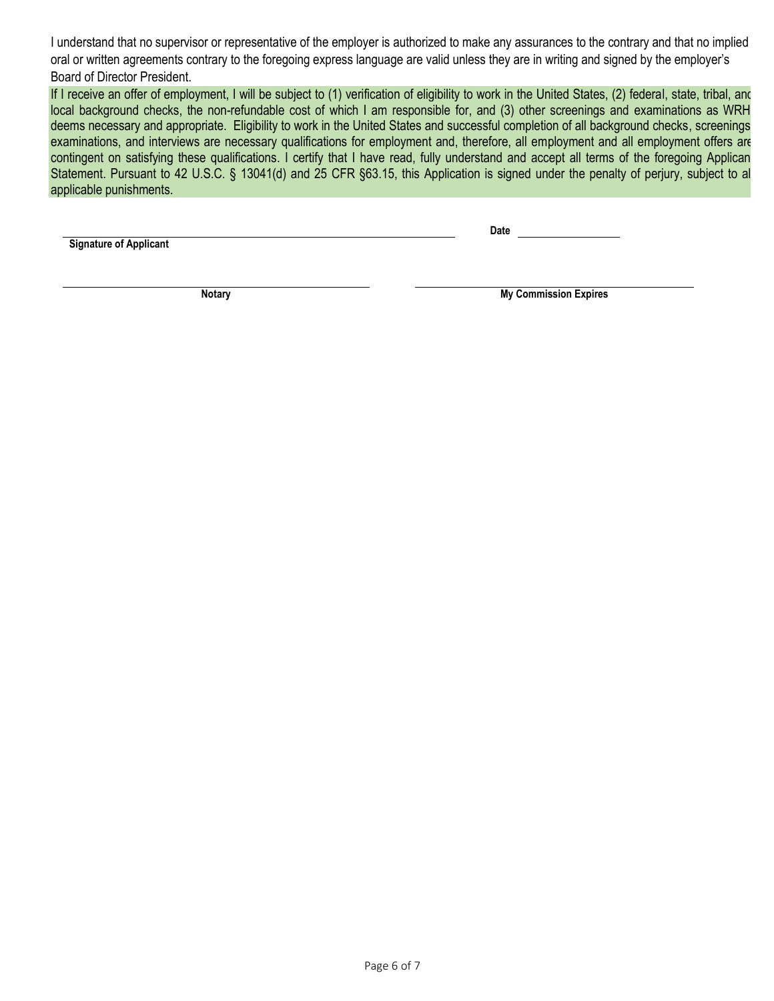I understand that no supervisor or representative of the employer is authorized to make any assurances to the contrary and that no implied oral or written agreements contrary to the foregoing express language are valid unless they are in writing and signed by the employer's Board of Director President.

If I receive an offer of employment, I will be subject to (1) verification of eligibility to work in the United States, (2) federal, state, tribal, and local background checks, the non-refundable cost of which I am responsible for, and (3) other screenings and examinations as WRH deems necessary and appropriate. Eligibility to work in the United States and successful completion of all background checks, screenings examinations, and interviews are necessary qualifications for employment and, therefore, all employment and all employment offers are contingent on satisfying these qualifications. I certify that I have read, fully understand and accept all terms of the foregoing Applican Statement. Pursuant to 42 U.S.C. § 13041(d) and 25 CFR §63.15, this Application is signed under the penalty of perjury, subject to all applicable punishments.

**Signature of Applicant**

**Date**

**Notary My Commission Expires**